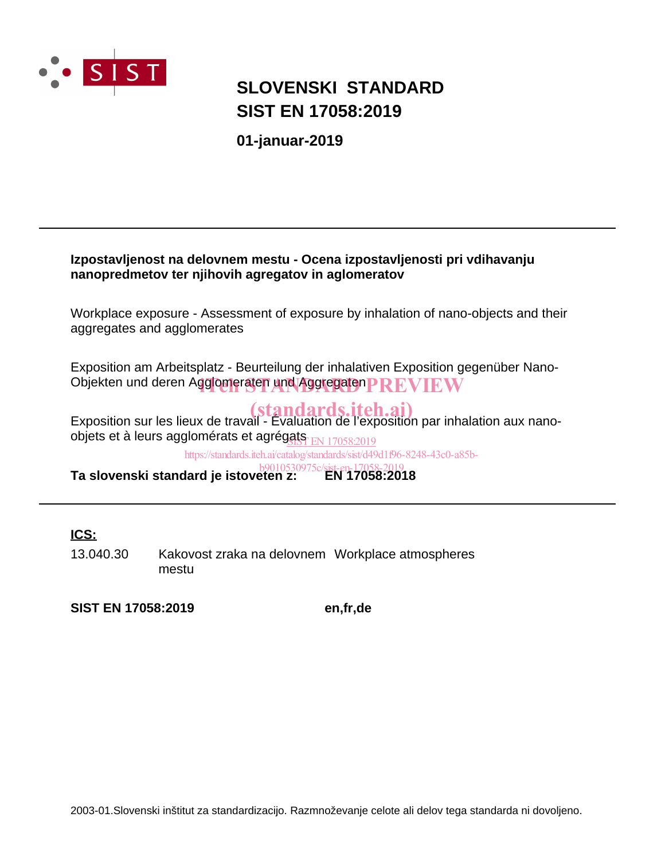

## **SIST EN 17058:2019 SLOVENSKI STANDARD**

**01-januar-2019**

### **Izpostavljenost na delovnem mestu - Ocena izpostavljenosti pri vdihavanju nanopredmetov ter njihovih agregatov in aglomeratov**

Workplace exposure - Assessment of exposure by inhalation of nano-objects and their aggregates and agglomerates

Exposition am Arbeitsplatz - Beurteilung der inhalativen Exposition gegenüber Nano-Objekten und deren Agglomeraten und Aggregaten PREVIEW

Exposition sur les lieux de travail - Évaluation de l'exposition par inhalation aux nanoobjets et à leurs agglomérats et agrég<u>ats<sub>. EN 17058:2019</u></u></sub>

https://standards.iteh.ai/catalog/standards/sist/d49d1f96-8248-43c0-a85b-

**Ta slovenski standard je istoveten z: EN 17058:2018** b9010530975c/sist-en-17058-2019

### **ICS:**

13.040.30 Kakovost zraka na delovnem Workplace atmospheres mestu

**SIST EN 17058:2019 en,fr,de**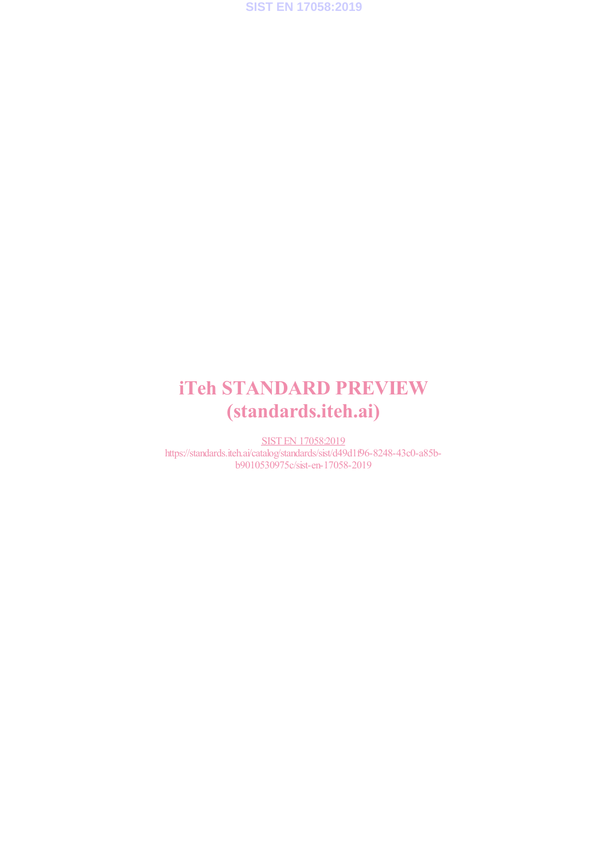

## iTeh STANDARD PREVIEW (standards.iteh.ai)

SIST EN 17058:2019 https://standards.iteh.ai/catalog/standards/sist/d49d1f96-8248-43c0-a85bb9010530975c/sist-en-17058-2019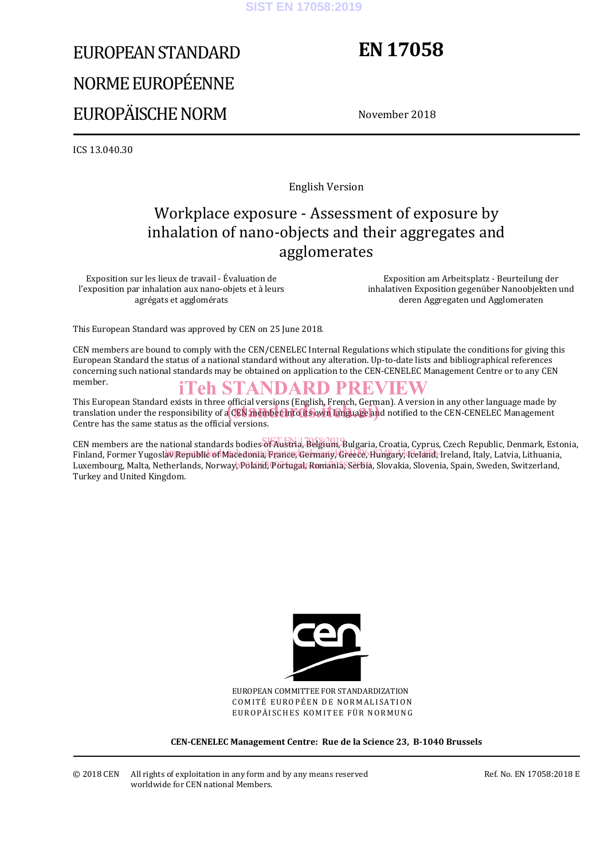#### **SIST EN 17058:2019**

# EUROPEAN STANDARD NORME EUROPÉENNE EUROPÄISCHE NORM

## **EN 17058**

November 2018

ICS 13.040.30

English Version

### Workplace exposure - Assessment of exposure by inhalation of nano-objects and their aggregates and agglomerates

Exposition sur les lieux de travail - Évaluation de l'exposition par inhalation aux nano-objets et à leurs agrégats et agglomérats

 Exposition am Arbeitsplatz - Beurteilung der inhalativen Exposition gegenüber Nanoobjekten und deren Aggregaten und Agglomeraten

This European Standard was approved by CEN on 25 June 2018.

CEN members are bound to comply with the CEN/CENELEC Internal Regulations which stipulate the conditions for giving this European Standard the status of a national standard without any alteration. Up-to-date lists and bibliographical references concerning such national standards may be obtained on application to the CEN-CENELEC Management Centre or to any CEN member.

### iTeh STANDARD PREVIEW

This European Standard exists in three official versions (English, French, German). A version in any other language made by This European Standard exists in three official versions (English, French, German). A version in any other language made by<br>translation under the responsibility of a CEN member into its own language and notified to the CEN Centre has the same status as the official versions.

CEN members are the national standards bodies of Austria, Belgium, Bulgaria, Croatia, Cyprus, Czech Republic, Denmark, Estonia, Finland, Former Yugoslav Republic of Macedonia, Feance, Germany, Greece, Hungary, Teland, Ireland, Italy, Latvia, Lithuania, Luxembourg, Malta, Netherlands, Norway<mark>, Poland, Portugal, Romania, Setbia</mark>, Slovakia, Slovenia, Spain, Sweden, Switzerland, Turkey and United Kingdom.



EUROPEAN COMMITTEE FOR STANDARDIZATION COMITÉ EUROPÉEN DE NORMALISATION EUROPÄISCHES KOMITEE FÜR NORMUNG

**CEN-CENELEC Management Centre: Rue de la Science 23, B-1040 Brussels**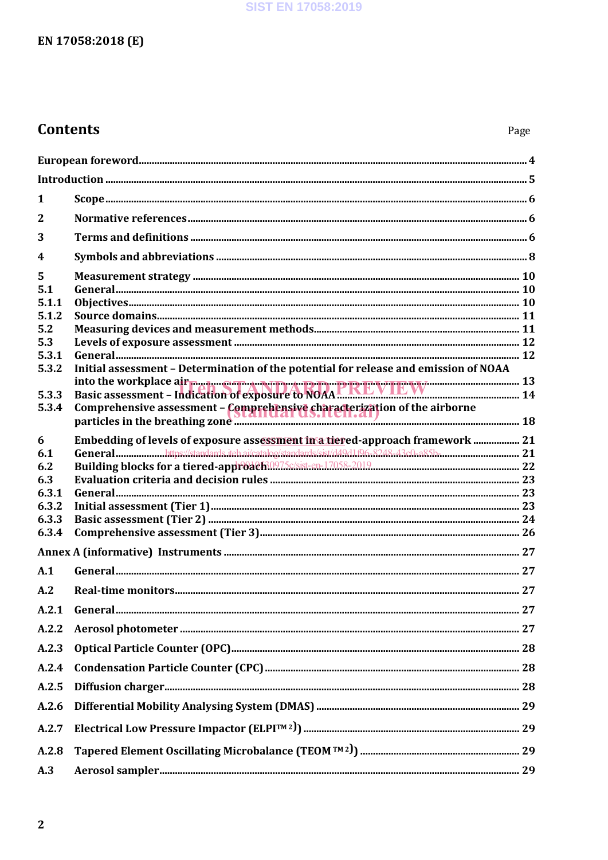### **SIST EN 17058:2019**

### EN 17058:2018 (E)

### **Contents**

| 1     |                                                                                      |  |  |
|-------|--------------------------------------------------------------------------------------|--|--|
| 2     |                                                                                      |  |  |
| 3     |                                                                                      |  |  |
| 4     |                                                                                      |  |  |
| 5     |                                                                                      |  |  |
| 5.1   |                                                                                      |  |  |
| 5.1.1 |                                                                                      |  |  |
| 5.1.2 |                                                                                      |  |  |
| 5.2   |                                                                                      |  |  |
| 5.3   |                                                                                      |  |  |
| 5.3.1 |                                                                                      |  |  |
| 5.3.2 | Initial assessment - Determination of the potential for release and emission of NOAA |  |  |
| 5.3.3 |                                                                                      |  |  |
| 5.3.4 |                                                                                      |  |  |
|       |                                                                                      |  |  |
|       |                                                                                      |  |  |
| 6     | Embedding of levels of exposure assessment in a tiered-approach framework  21        |  |  |
| 6.1   |                                                                                      |  |  |
| 6.2   |                                                                                      |  |  |
| 6.3   |                                                                                      |  |  |
| 6.3.1 |                                                                                      |  |  |
| 6.3.2 |                                                                                      |  |  |
| 6.3.3 |                                                                                      |  |  |
| 6.3.4 |                                                                                      |  |  |
|       |                                                                                      |  |  |
| A.1   |                                                                                      |  |  |
| A.2   |                                                                                      |  |  |
|       |                                                                                      |  |  |
| A.2.2 |                                                                                      |  |  |
| A.2.3 |                                                                                      |  |  |
| A.2.4 |                                                                                      |  |  |
| A.2.5 |                                                                                      |  |  |
| A.2.6 |                                                                                      |  |  |
| A.2.7 |                                                                                      |  |  |
| A.2.8 |                                                                                      |  |  |
| A.3   |                                                                                      |  |  |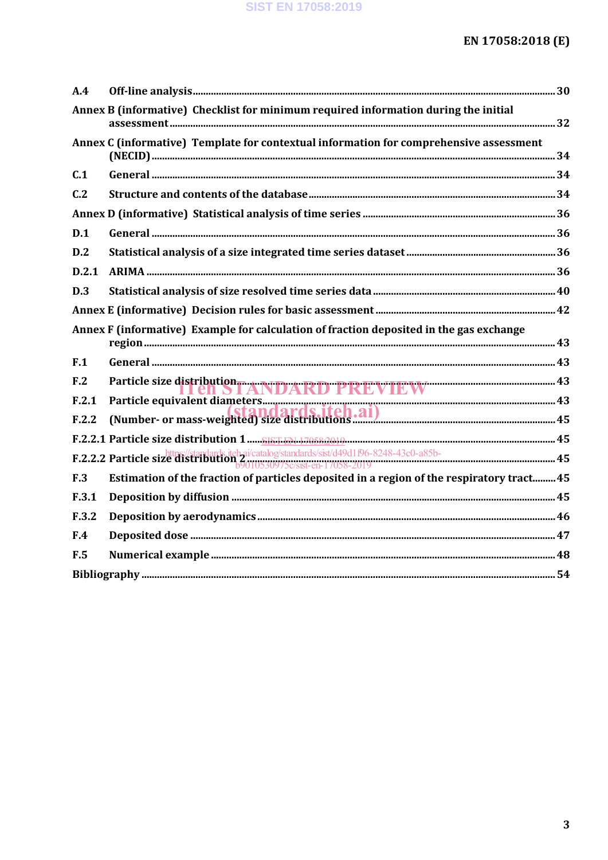| A.4             |                                                                                             |  |
|-----------------|---------------------------------------------------------------------------------------------|--|
|                 | Annex B (informative) Checklist for minimum required information during the initial         |  |
|                 | Annex C (informative) Template for contextual information for comprehensive assessment      |  |
| C.1             |                                                                                             |  |
| C <sub>12</sub> |                                                                                             |  |
|                 |                                                                                             |  |
| D.1             |                                                                                             |  |
| D.2             |                                                                                             |  |
| D.2.1           |                                                                                             |  |
| D.3             |                                                                                             |  |
|                 |                                                                                             |  |
|                 | Annex F (informative) Example for calculation of fraction deposited in the gas exchange     |  |
| F.1             |                                                                                             |  |
| F <sub>12</sub> |                                                                                             |  |
| F.2.1           | Particle size distribution TANDARD PREVIEW                                                  |  |
| F.2.2           |                                                                                             |  |
|                 |                                                                                             |  |
|                 | F.2.2.2 Particle size distribution $\frac{1}{20010530975c\sqrt{\text{stat}}-en}$ 17058-2019 |  |
| F.3             | Estimation of the fraction of particles deposited in a region of the respiratory tract 45   |  |
| F.3.1           |                                                                                             |  |
| F.3.2           |                                                                                             |  |
| F.4             |                                                                                             |  |
| F.5             |                                                                                             |  |
|                 |                                                                                             |  |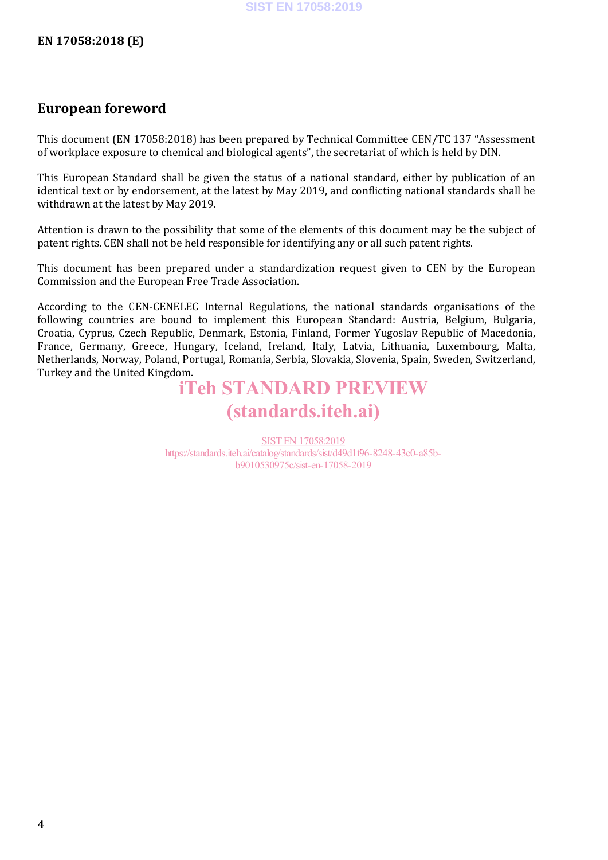### **European foreword**

This document (EN 17058:2018) has been prepared by Technical Committee CEN/TC 137 "Assessment of workplace exposure to chemical and biological agents", the secretariat of which is held by DIN.

This European Standard shall be given the status of a national standard, either by publication of an identical text or by endorsement, at the latest by May 2019, and conflicting national standards shall be withdrawn at the latest by May 2019.

Attention is drawn to the possibility that some of the elements of this document may be the subject of patent rights. CEN shall not be held responsible for identifying any or all such patent rights.

This document has been prepared under a standardization request given to CEN by the European Commission and the European Free Trade Association.

According to the CEN-CENELEC Internal Regulations, the national standards organisations of the following countries are bound to implement this European Standard: Austria, Belgium, Bulgaria, Croatia, Cyprus, Czech Republic, Denmark, Estonia, Finland, Former Yugoslav Republic of Macedonia, France, Germany, Greece, Hungary, Iceland, Ireland, Italy, Latvia, Lithuania, Luxembourg, Malta, Netherlands, Norway, Poland, Portugal, Romania, Serbia, Slovakia, Slovenia, Spain, Sweden, Switzerland, Turkey and the United Kingdom.

## iTeh STANDARD PREVIEW (standards.iteh.ai)

SIST EN 17058:2019 https://standards.iteh.ai/catalog/standards/sist/d49d1f96-8248-43c0-a85bb9010530975c/sist-en-17058-2019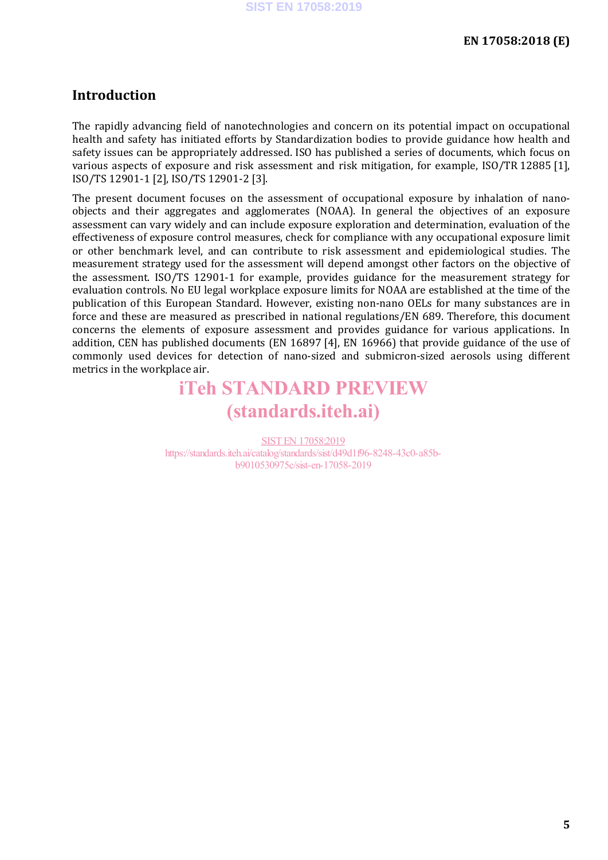### **Introduction**

The rapidly advancing field of nanotechnologies and concern on its potential impact on occupational health and safety has initiated efforts by Standardization bodies to provide guidance how health and safety issues can be appropriately addressed. ISO has published a series of documents, which focus on various aspects of exposure and risk assessment and risk mitigation, for example, ISO/TR 12885 [1], ISO/TS 12901-1 [2], ISO/TS 12901-2 [3].

The present document focuses on the assessment of occupational exposure by inhalation of nanoobjects and their aggregates and agglomerates (NOAA). In general the objectives of an exposure assessment can vary widely and can include exposure exploration and determination, evaluation of the effectiveness of exposure control measures, check for compliance with any occupational exposure limit or other benchmark level, and can contribute to risk assessment and epidemiological studies. The measurement strategy used for the assessment will depend amongst other factors on the objective of the assessment. ISO/TS 12901-1 for example, provides guidance for the measurement strategy for evaluation controls. No EU legal workplace exposure limits for NOAA are established at the time of the publication of this European Standard. However, existing non-nano OELs for many substances are in force and these are measured as prescribed in national regulations/EN 689. Therefore, this document concerns the elements of exposure assessment and provides guidance for various applications. In addition, CEN has published documents (EN 16897 [4], EN 16966) that provide guidance of the use of commonly used devices for detection of nano-sized and submicron-sized aerosols using different metrics in the workplace air.

## iTeh STANDARD PREVIEW (standards.iteh.ai)

SIST EN 17058:2019 https://standards.iteh.ai/catalog/standards/sist/d49d1f96-8248-43c0-a85bb9010530975c/sist-en-17058-2019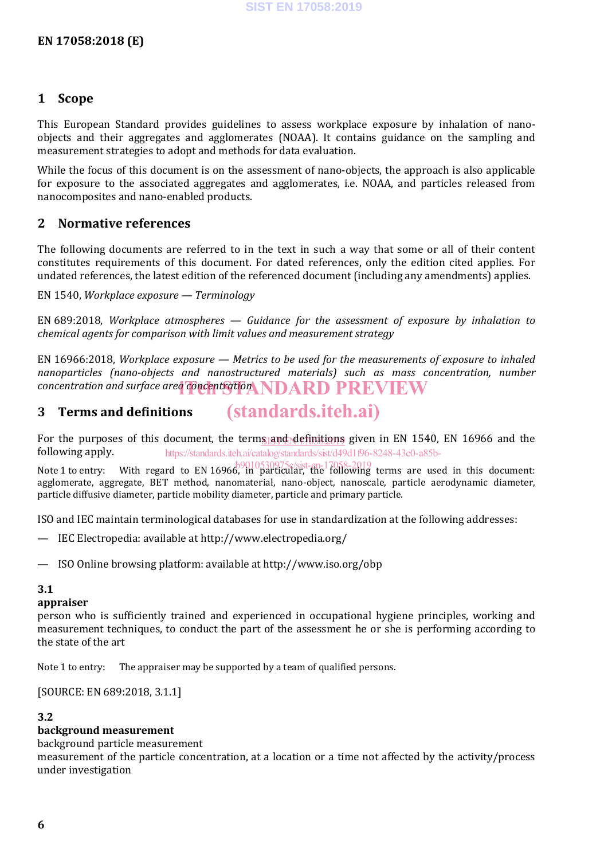### **1 Scope**

This European Standard provides guidelines to assess workplace exposure by inhalation of nanoobjects and their aggregates and agglomerates (NOAA). It contains guidance on the sampling and measurement strategies to adopt and methods for data evaluation.

While the focus of this document is on the assessment of nano-objects, the approach is also applicable for exposure to the associated aggregates and agglomerates, i.e. NOAA, and particles released from nanocomposites and nano-enabled products.

### **2 Normative references**

The following documents are referred to in the text in such a way that some or all of their content constitutes requirements of this document. For dated references, only the edition cited applies. For undated references, the latest edition of the referenced document (including any amendments) applies.

EN 1540, *Workplace exposure — Terminology*

EN 689:2018, *Workplace atmospheres — Guidance for the assessment of exposure by inhalation to chemical agents for comparison with limit values and measurement strategy*

EN 16966:2018, *Workplace exposure — Metrics to be used for the measurements of exposure to inhaled nanoparticles (nano-objects and nanostructured materials) such as mass concentration, number*   $\emph{concentration}$  and surface area concentration NDARD PREVIEW

#### **3 Terms and definitions** (standards.iteh.ai)

For the purposes of this document, the term<u>s and definitions</u> given in EN 1540, EN 16966 and the following apply. https://standards.iteh.ai/catalog/standards/sist/d49d1f96-8248-43c0-a85b-

Note 1 to entry: With regard to EN 16966, in particular, the following terms are used in this document: agglomerate, aggregate, BET method, nanomaterial, nano-object, nanoscale, particle aerodynamic diameter, particle diffusive diameter, particle mobility diameter, particle and primary particle.

ISO and IEC maintain terminological databases for use in standardization at the following addresses:

- IEC Electropedia: available at http://www.electropedia.org/
- ISO Online browsing platform: available at http://www.iso.org/obp

### **3.1**

**appraiser**

person who is sufficiently trained and experienced in occupational hygiene principles, working and measurement techniques, to conduct the part of the assessment he or she is performing according to the state of the art

Note 1 to entry: The appraiser may be supported by a team of qualified persons.

[SOURCE: EN 689:2018, 3.1.1]

### **3.2**

### **background measurement**

background particle measurement

measurement of the particle concentration, at a location or a time not affected by the activity/process under investigation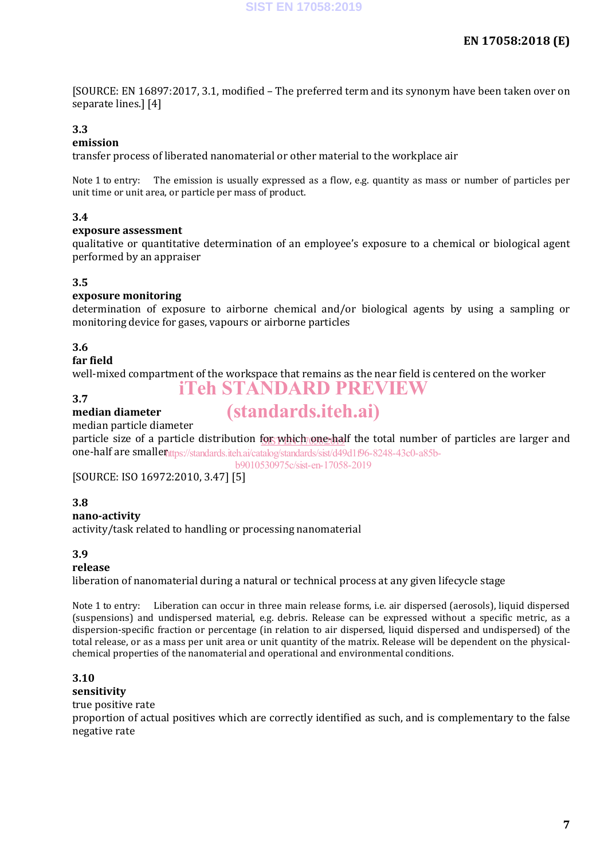[SOURCE: EN 16897:2017, 3.1, modified – The preferred term and its synonym have been taken over on separate lines.] [4]

### **3.3**

### **emission**

transfer process of liberated nanomaterial or other material to the workplace air

Note 1 to entry: The emission is usually expressed as a flow, e.g. quantity as mass or number of particles per unit time or unit area, or particle per mass of product.

### **3.4**

### **exposure assessment**

qualitative or quantitative determination of an employee's exposure to a chemical or biological agent performed by an appraiser

### **3.5**

### **exposure monitoring**

determination of exposure to airborne chemical and/or biological agents by using a sampling or monitoring device for gases, vapours or airborne particles

### **3.6**

### **far field**

well-mixed compartment of the workspace that remains as the near field is centered on the worker iTeh STANDARD PREVIEW

#### **3.7 median diameter**

## (standards.iteh.ai)

median particle diameter

particle size of a particle distribution t<u>or which one-ha</u>lf the total number of particles are larger and **one-half are smallen**ttps://standards.iteh.ai/catalog/standards/sist/d49d1f96-8248-43c0-a85b-

b9010530975c/sist-en-17058-2019

[SOURCE: ISO 16972:2010, 3.47] [5]

### **3.8**

### **nano-activity**

activity/task related to handling or processing nanomaterial

#### **3.9**

#### **release**

liberation of nanomaterial during a natural or technical process at any given lifecycle stage

Note 1 to entry: Liberation can occur in three main release forms, i.e. air dispersed (aerosols), liquid dispersed (suspensions) and undispersed material, e.g. debris. Release can be expressed without a specific metric, as a dispersion-specific fraction or percentage (in relation to air dispersed, liquid dispersed and undispersed) of the total release, or as a mass per unit area or unit quantity of the matrix. Release will be dependent on the physicalchemical properties of the nanomaterial and operational and environmental conditions.

### **3.10**

### **sensitivity**

true positive rate

proportion of actual positives which are correctly identified as such, and is complementary to the false negative rate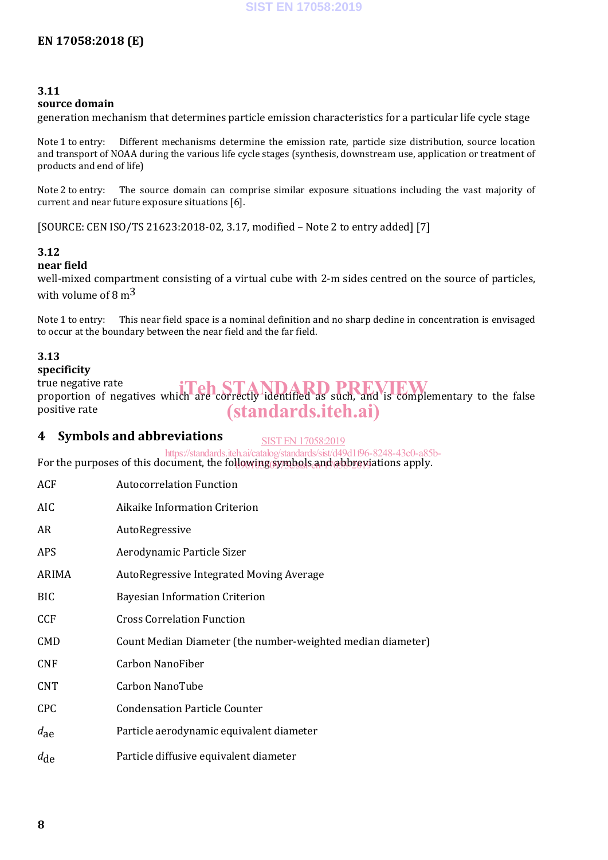### **3.11**

### **source domain**

generation mechanism that determines particle emission characteristics for a particular life cycle stage

Note 1 to entry: Different mechanisms determine the emission rate, particle size distribution, source location and transport of NOAA during the various life cycle stages (synthesis, downstream use, application or treatment of products and end of life)

Note 2 to entry: The source domain can comprise similar exposure situations including the vast majority of current and near future exposure situations [6].

[SOURCE: CEN ISO/TS 21623:2018-02, 3.17, modified – Note 2 to entry added] [7]

### **3.12**

### **near field**

well-mixed compartment consisting of a virtual cube with 2-m sides centred on the source of particles, with volume of 8  $\rm m^3$ 

Note 1 to entry: This near field space is a nominal definition and no sharp decline in concentration is envisaged to occur at the boundary between the near field and the far field.

### **3.13**

### **specificity**

true negative rate true negative rate<br>proportion of negatives which are correctly identified as such, and is complementary to the false positive rate (standards.iteh.ai)

### **4 Symbols and abbreviations**

SIST EN 17058:2019

For the purposes of this document, the following symbols and abbreviations apply. https://standards.iteh.ai/catalog/standards/sist/d49d1f96-8248-43c0-a85b-

| <b>Autocorrelation Function</b>                             |  |  |  |
|-------------------------------------------------------------|--|--|--|
| Aikaike Information Criterion                               |  |  |  |
| AutoRegressive                                              |  |  |  |
| Aerodynamic Particle Sizer                                  |  |  |  |
| AutoRegressive Integrated Moving Average                    |  |  |  |
| <b>Bayesian Information Criterion</b>                       |  |  |  |
| <b>Cross Correlation Function</b>                           |  |  |  |
| Count Median Diameter (the number-weighted median diameter) |  |  |  |
| Carbon NanoFiber                                            |  |  |  |
| Carbon NanoTube                                             |  |  |  |
| <b>Condensation Particle Counter</b>                        |  |  |  |
| Particle aerodynamic equivalent diameter                    |  |  |  |
| Particle diffusive equivalent diameter                      |  |  |  |
|                                                             |  |  |  |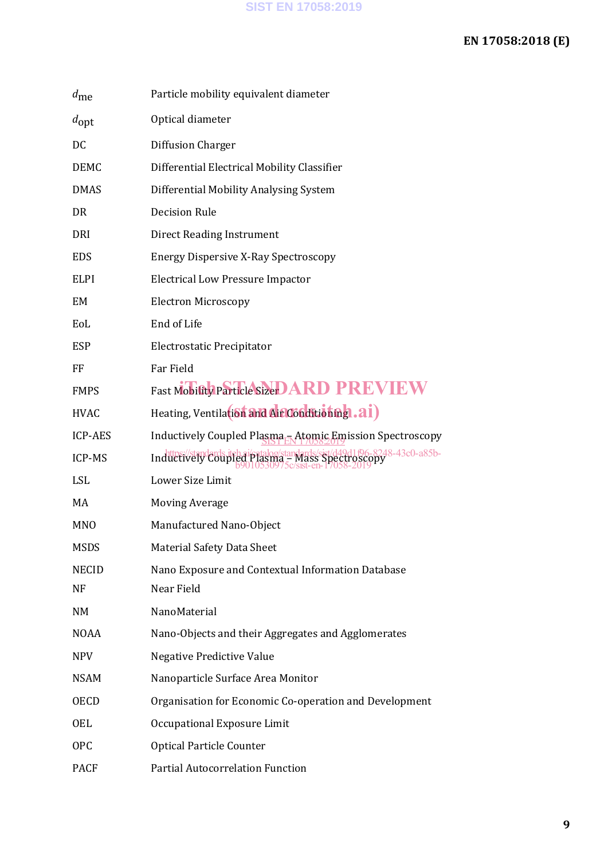### **EN 17058:2018 (E)**

| $d_{\rm me}$   | Particle mobility equivalent diameter                                                                         |  |  |  |
|----------------|---------------------------------------------------------------------------------------------------------------|--|--|--|
| $d_{\rm opt}$  | Optical diameter                                                                                              |  |  |  |
| DC             | Diffusion Charger                                                                                             |  |  |  |
| <b>DEMC</b>    | Differential Electrical Mobility Classifier                                                                   |  |  |  |
| <b>DMAS</b>    | Differential Mobility Analysing System                                                                        |  |  |  |
| <b>DR</b>      | <b>Decision Rule</b>                                                                                          |  |  |  |
| DRI            | <b>Direct Reading Instrument</b>                                                                              |  |  |  |
| <b>EDS</b>     | <b>Energy Dispersive X-Ray Spectroscopy</b>                                                                   |  |  |  |
| <b>ELPI</b>    | <b>Electrical Low Pressure Impactor</b>                                                                       |  |  |  |
| EM             | <b>Electron Microscopy</b>                                                                                    |  |  |  |
| EoL            | End of Life                                                                                                   |  |  |  |
| <b>ESP</b>     | Electrostatic Precipitator                                                                                    |  |  |  |
| FF             | Far Field                                                                                                     |  |  |  |
| <b>FMPS</b>    | Fast Mobifty Particle SizerDARD PREVIEW                                                                       |  |  |  |
| <b>HVAC</b>    | Heating, Ventilation and Airconditionnal.ai)                                                                  |  |  |  |
| <b>ICP-AES</b> | Inductively Coupled Plasma <sub>L</sub> Atomic Emission Spectroscopy                                          |  |  |  |
| ICP-MS         | Inductively Coupled Plasma - Mass Spectroscopy<br>Spectroscopy -43c0-a85b-<br>b9010530975c/sist-en-17058-2019 |  |  |  |
| LSL            | Lower Size Limit                                                                                              |  |  |  |
| MA             | <b>Moving Average</b>                                                                                         |  |  |  |
| <b>MNO</b>     | Manufactured Nano-Object                                                                                      |  |  |  |
| <b>MSDS</b>    | <b>Material Safety Data Sheet</b>                                                                             |  |  |  |
| <b>NECID</b>   | Nano Exposure and Contextual Information Database                                                             |  |  |  |
| NF             | Near Field                                                                                                    |  |  |  |
| NM             | NanoMaterial                                                                                                  |  |  |  |
| <b>NOAA</b>    | Nano-Objects and their Aggregates and Agglomerates                                                            |  |  |  |
| <b>NPV</b>     | <b>Negative Predictive Value</b>                                                                              |  |  |  |
| <b>NSAM</b>    | Nanoparticle Surface Area Monitor                                                                             |  |  |  |
| <b>OECD</b>    | Organisation for Economic Co-operation and Development                                                        |  |  |  |
| <b>OEL</b>     | Occupational Exposure Limit                                                                                   |  |  |  |
| <b>OPC</b>     | <b>Optical Particle Counter</b>                                                                               |  |  |  |
| <b>PACF</b>    | Partial Autocorrelation Function                                                                              |  |  |  |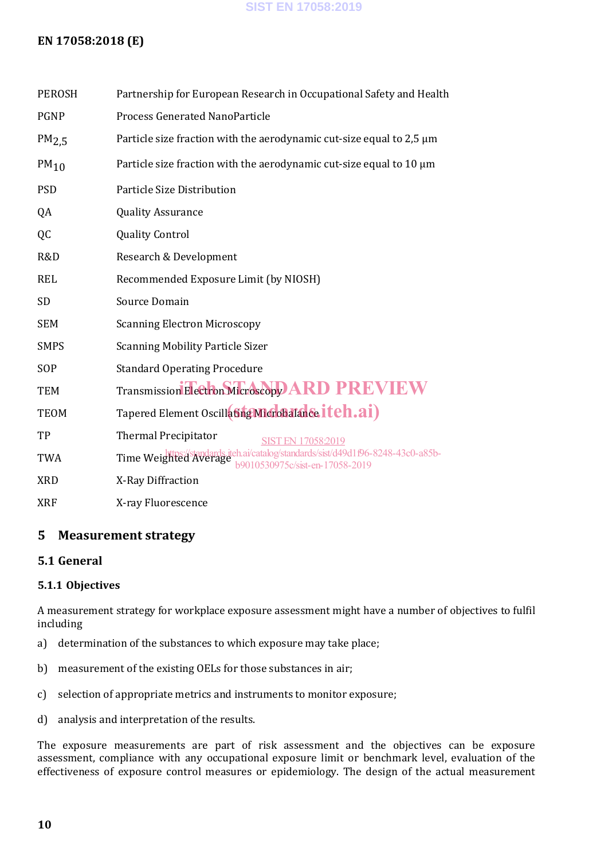### **SIST EN 17058:2019**

### **EN 17058:2018 (E)**

| <b>PEROSH</b>    | Partnership for European Research in Occupational Safety and Health                                             |  |  |  |  |  |
|------------------|-----------------------------------------------------------------------------------------------------------------|--|--|--|--|--|
| <b>PGNP</b>      | <b>Process Generated NanoParticle</b>                                                                           |  |  |  |  |  |
| PM2.5            | Particle size fraction with the aerodynamic cut-size equal to 2,5 µm                                            |  |  |  |  |  |
| PM <sub>10</sub> | Particle size fraction with the aerodynamic cut-size equal to 10 µm                                             |  |  |  |  |  |
| <b>PSD</b>       | Particle Size Distribution                                                                                      |  |  |  |  |  |
| QA               | <b>Quality Assurance</b>                                                                                        |  |  |  |  |  |
| QC               | <b>Quality Control</b>                                                                                          |  |  |  |  |  |
| R&D              | Research & Development                                                                                          |  |  |  |  |  |
| <b>REL</b>       | Recommended Exposure Limit (by NIOSH)                                                                           |  |  |  |  |  |
| <b>SD</b>        | Source Domain                                                                                                   |  |  |  |  |  |
| <b>SEM</b>       | <b>Scanning Electron Microscopy</b>                                                                             |  |  |  |  |  |
| <b>SMPS</b>      | <b>Scanning Mobility Particle Sizer</b>                                                                         |  |  |  |  |  |
| SOP              | <b>Standard Operating Procedure</b>                                                                             |  |  |  |  |  |
| <b>TEM</b>       | Transmission Electron Microscopy ARD PREVIEW                                                                    |  |  |  |  |  |
| <b>TEOM</b>      | Tapered Element Oscillating Microbalance itch.ai)                                                               |  |  |  |  |  |
| TP               | <b>Thermal Precipitator</b><br><b>SIST EN 17058:2019</b>                                                        |  |  |  |  |  |
| <b>TWA</b>       | Time Weighted Average teh.ai/catalog/standards/sist/d49d1f96-8248-43c0-a85b-<br>b9010530975c/sist-en-17058-2019 |  |  |  |  |  |
| <b>XRD</b>       | X-Ray Diffraction                                                                                               |  |  |  |  |  |
| <b>XRF</b>       | X-ray Fluorescence                                                                                              |  |  |  |  |  |

### **5 Measurement strategy**

### **5.1 General**

### **5.1.1 Objectives**

A measurement strategy for workplace exposure assessment might have a number of objectives to fulfil including

- a) determination of the substances to which exposure may take place;
- b) measurement of the existing OELs for those substances in air;
- c) selection of appropriate metrics and instruments to monitor exposure;
- d) analysis and interpretation of the results.

The exposure measurements are part of risk assessment and the objectives can be exposure assessment, compliance with any occupational exposure limit or benchmark level, evaluation of the effectiveness of exposure control measures or epidemiology. The design of the actual measurement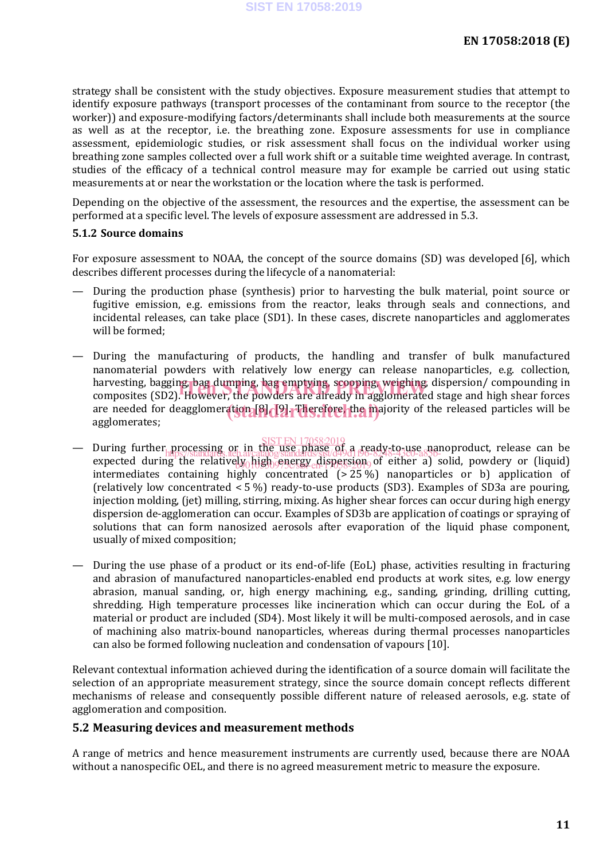strategy shall be consistent with the study objectives. Exposure measurement studies that attempt to identify exposure pathways (transport processes of the contaminant from source to the receptor (the worker)) and exposure-modifying factors/determinants shall include both measurements at the source as well as at the receptor, i.e. the breathing zone. Exposure assessments for use in compliance assessment, epidemiologic studies, or risk assessment shall focus on the individual worker using breathing zone samples collected over a full work shift or a suitable time weighted average. In contrast, studies of the efficacy of a technical control measure may for example be carried out using static measurements at or near the workstation or the location where the task is performed.

Depending on the objective of the assessment, the resources and the expertise, the assessment can be performed at a specific level. The levels of exposure assessment are addressed in 5.3.

#### **5.1.2 Source domains**

For exposure assessment to NOAA, the concept of the source domains (SD) was developed [6], which describes different processes during the lifecycle of a nanomaterial:

- During the production phase (synthesis) prior to harvesting the bulk material, point source or fugitive emission, e.g. emissions from the reactor, leaks through seals and connections, and incidental releases, can take place (SD1). In these cases, discrete nanoparticles and agglomerates will be formed;
- During the manufacturing of products, the handling and transfer of bulk manufactured nanomaterial powders with relatively low energy can release nanoparticles, e.g. collection, harvesting, bagging, bag dumping, bag emptying, scooping, weighing, dispersion/ compounding in harvesting, bagging, bag dumping, bag emptying, scooping, weighing, dispersion/ compounding in<br>composites (SD2). However, the powders are already in agglomerated stage and high shear forces are needed for deagglomeration [8]. [9]. Therefore, the majority of the released particles will be agglomerates;
- During further processing or in the use phase of a ready-to-use nanoproduct, release can be<br>be a ready-to-use nanoproduct in the use in the weakening and the angle is the above of the contract of the can expected during the relatively high energy dispersion of either a) solid, powdery or (liquid) intermediates containing highly concentrated  $(>25\%)$  nanoparticles or b) application of (relatively low concentrated < 5 %) ready-to-use products (SD3). Examples of SD3a are pouring, injection molding, (jet) milling, stirring, mixing. As higher shear forces can occur during high energy dispersion de-agglomeration can occur. Examples of SD3b are application of coatings or spraying of solutions that can form nanosized aerosols after evaporation of the liquid phase component, usually of mixed composition; SIST EN 17058:2019 https://standards.iteh.ai/catalog/standards/sist/d49d1f96-8248-43c0-a85b-
- During the use phase of a product or its end-of-life (EoL) phase, activities resulting in fracturing and abrasion of manufactured nanoparticles-enabled end products at work sites, e.g. low energy abrasion, manual sanding, or, high energy machining, e.g., sanding, grinding, drilling cutting, shredding. High temperature processes like incineration which can occur during the EoL of a material or product are included (SD4). Most likely it will be multi-composed aerosols, and in case of machining also matrix-bound nanoparticles, whereas during thermal processes nanoparticles can also be formed following nucleation and condensation of vapours [10].

Relevant contextual information achieved during the identification of a source domain will facilitate the selection of an appropriate measurement strategy, since the source domain concept reflects different mechanisms of release and consequently possible different nature of released aerosols, e.g. state of agglomeration and composition.

### **5.2 Measuring devices and measurement methods**

A range of metrics and hence measurement instruments are currently used, because there are NOAA without a nanospecific OEL, and there is no agreed measurement metric to measure the exposure.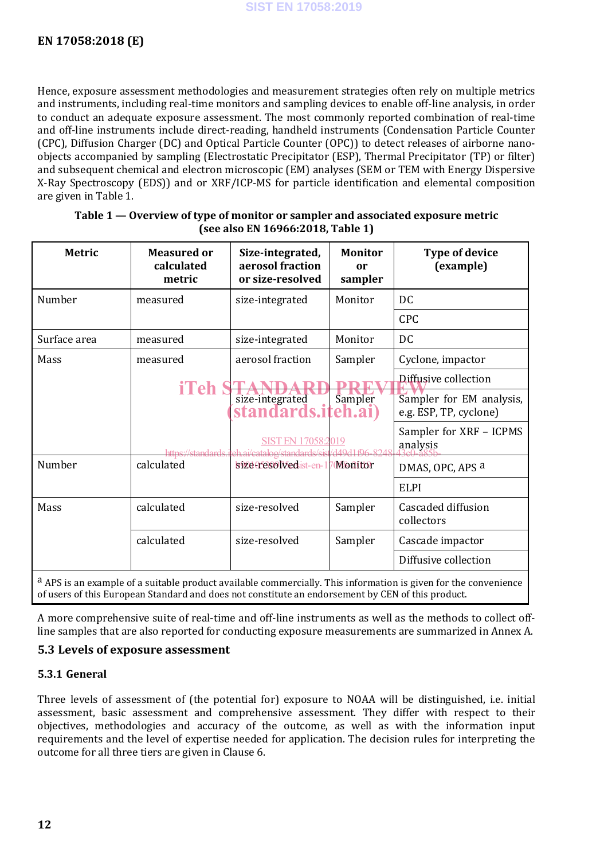Hence, exposure assessment methodologies and measurement strategies often rely on multiple metrics and instruments, including real-time monitors and sampling devices to enable off-line analysis, in order to conduct an adequate exposure assessment. The most commonly reported combination of real-time and off-line instruments include direct-reading, handheld instruments (Condensation Particle Counter (CPC), Diffusion Charger (DC) and Optical Particle Counter (OPC)) to detect releases of airborne nanoobjects accompanied by sampling (Electrostatic Precipitator (ESP), Thermal Precipitator (TP) or filter) and subsequent chemical and electron microscopic (EM) analyses (SEM or TEM with Energy Dispersive X-Ray Spectroscopy (EDS)) and or XRF/ICP-MS for particle identification and elemental composition are given in Table 1.

| <b>Metric</b> | <b>Measured or</b><br>calculated<br>metric | Size-integrated,<br>aerosol fraction<br>or size-resolved | <b>Monitor</b><br>or<br>sampler | <b>Type of device</b><br>(example)                 |
|---------------|--------------------------------------------|----------------------------------------------------------|---------------------------------|----------------------------------------------------|
| Number        | measured                                   | size-integrated                                          | Monitor                         | DC                                                 |
|               |                                            |                                                          |                                 | <b>CPC</b>                                         |
| Surface area  | measured                                   | size-integrated                                          | Monitor                         | <b>DC</b>                                          |
| Mass          | measured                                   | aerosol fraction                                         | Sampler                         | Cyclone, impactor                                  |
|               |                                            |                                                          |                                 | Diffusive collection                               |
|               | iTeh                                       | size-integrated<br>standards.iteh.ai)                    | Sampler                         | Sampler for EM analysis,<br>e.g. ESP, TP, cyclone) |
|               | https://standards.j                        | SIST EN 17058:2019<br>eh ai/oatalog/standards/sis        | A40416682                       | Sampler for XRF - ICPMS<br>analysis                |
| Number        | calculated                                 | size cresolvedist-en-1                                   | <b>70Montor</b>                 | DMAS, OPC, APS a                                   |
|               |                                            |                                                          |                                 | <b>ELPI</b>                                        |
| Mass          | calculated                                 | size-resolved                                            | Sampler                         | Cascaded diffusion<br>collectors                   |
|               | calculated                                 | size-resolved                                            | Sampler                         | Cascade impactor                                   |
|               |                                            |                                                          |                                 | Diffusive collection                               |

### **Table 1 — Overview of type of monitor or sampler and associated exposure metric (see also EN 16966:2018, Table 1)**

a APS is an example of a suitable product available commercially. This information is given for the convenience of users of this European Standard and does not constitute an endorsement by CEN of this product.

A more comprehensive suite of real-time and off-line instruments as well as the methods to collect offline samples that are also reported for conducting exposure measurements are summarized in Annex A.

### **5.3 Levels of exposure assessment**

### **5.3.1 General**

Three levels of assessment of (the potential for) exposure to NOAA will be distinguished, i.e. initial assessment, basic assessment and comprehensive assessment. They differ with respect to their objectives, methodologies and accuracy of the outcome, as well as with the information input requirements and the level of expertise needed for application. The decision rules for interpreting the outcome for all three tiers are given in Clause 6.